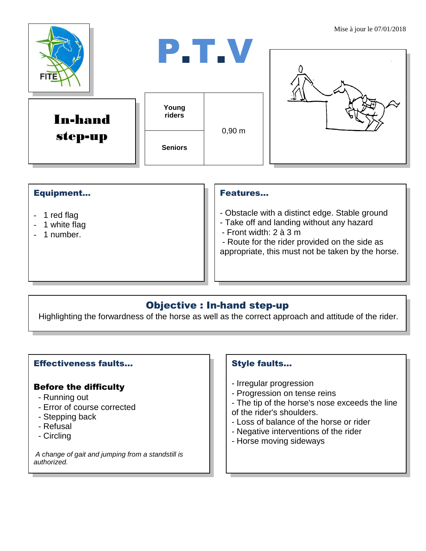

### Equipment...

- 1 red flag
- 1 white flag
- 1 number.

#### Features…

- Obstacle with a distinct edge. Stable ground
- Take off and landing without any hazard
- Front width: 2 à 3 m

- Route for the rider provided on the side as appropriate, this must not be taken by the horse.

# Objective : In-hand step-up

Highlighting the forwardness of the horse as well as the correct approach and attitude of the rider.

## Effectiveness faults…

#### Before the difficulty

- Running out
- Error of course corrected
- Stepping back
- Refusal
- Circling

*A change of gait and jumping from a standstill is authorized.*

## Style faults…

- Irregular progression
- Progression on tense reins
- The tip of the horse's nose exceeds the line
- of the rider's shoulders.
- Loss of balance of the horse or rider
- Negative interventions of the rider
- Horse moving sideways